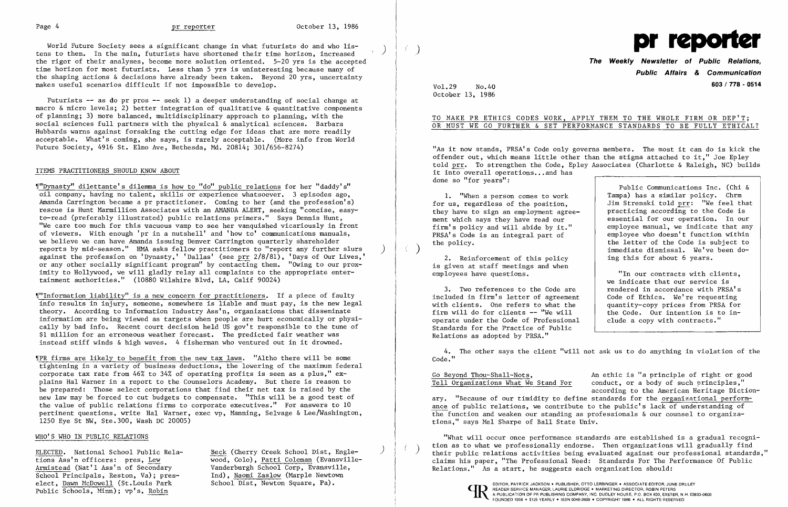World Future Society sees a significant change in what futurists do and who lis-<br>tens to them. In the main, futurists have shortened their time horizon, increased ( ) ( ) the rigor of their analyses, become more solution oriented. 5-20 yrs is the accepted time horizon for most futurists. Less than 5 yrs is uninteresting because many of the shaping actions & decisions have already been taken. Beyond 20 yrs, uncertainty makes useful scenarios difficult if not impossible to develop.

Futurists -- as do pr pros -- seek 1) a deeper understanding of social change at macro  $\&$  micro levels; 2) better integration of qualitative  $\&$  quantitative components of planning; 3) more balanced, multidisciplinary approach to planning, with the social sciences full partners with the physical & analytical sciences. Barbara Hubbards warns against forsaking the cutting edge for ideas that are more readily acceptable. What's coming, she says, is rarely acceptable. (More info from World Future Society, 4916 St. Elmo Ave, Bethesda, Md. 20814; 301/656-8274)

~f"Information liability" is a new concern for practitioners. If a piece of faulty info results in injury, someone, somewhere is liable and must pay, is the new legal theory. According to Information Industry Ass'n, organizations that disseminate information are being viewed as targets when people are hurt economically or physi cally by bad info. Recent court decision held US gov't responsible to the tune of \$1 million for an erroneous weather forecast. The predicted fair weather was instead stiff winds & high waves. 4 fisherman who ventured out in it drowned.

# ITEMS PRACTITIONERS SHOULD KNOW ABOUT

~f"DY!lasty" dilettante's dilemma is how to "do" public relations for her "daddy's" oil company, having no talent, skills or experience whatsoever. 3 episodes ago, Amanda Carrington became a pr practitioner. Coming to her (and the profession's) rescue is Hunt Marmillion Associates with an AMANDA ALERT, seeking "concise, easy to-read (preferably illustrated) public relations primers." Says Dennis Hunt, "We care too much for this vacuous vamp to see her vanquished vicariously in front of viewers. With enough 'pr in a nutshell' and 'how to' communications manuals, we believe we can have Amanda issuing Denver Carrington quarterly shareholder reports by mid-season." HMA asks fellow practitioners to "report any further slurs against the profession on 'Dynasty,' 'Dallas' (see prr 2/8/81), 'Days of Our Lives,' or any other socially significant program" by contacting them. "Owing to our prox imity to Hollywood, we will gladly relay all complaints to the appropriate enter tainment authorities." (10880 Wilshire Blvd, LA, Calif 90024)

TPR firms are likely to benefit from the new tax laws. "Altho there will be some tightening in a variety of business deductions, the lowering of the maximum federal corporate tax rate from 46% to 34% of operating profits is seen as a plus," ex plains Hal Warner in a report to the Counselors Academy. But there is reason to be prepared: Those select corporations that find their net tax is raised by the new law may be forced to cut budgets to compensate. "This will be a good test of the value of public relations firms to corporate executives." For answers to 10 pertinent questions, write Hal Warner, exec vp, Manning, Selvage & Lee/Washington, 1250 Eye St NW, Ste.300, Wash DC 20005)

for us, regardless of the position, 1. "When a person comes to work they have to sign an employment agree-<br>ment which savs they have read our firm's policy and will abide by it."<br>PRSA's Code is an integral part of PRSA's Code is an integral part of  $\left\{\n\begin{array}{c}\n\text{em}$  employee who doesn't function within the policy.

> "In our contracts with clients, we indicate that our service is quantity-copy prices from PRSA for<br>the Code. Our intention is to in-

3. Two references to the Code are <br>
luded in firm's letter of agreement code of Ethics. We're requesting included in firm's letter of agreement<br>with clients. One refers to what the firm will do for clients  $--$  "We will  $\left.\begin{array}{ccc} \end{array}\right|$  the Code. Our intention is to operate under the Code of Professional clude a copy with contracts." operate under the Code of Professional Standards for the Practice of Public Relations as adopted by PRSA."

Go Beyond Thou-Shall-Nots,<br>
Tell Organizations What We Stand For conduct, or a body of such principles," conduct, or a body of such principles," according to the American Heritage Dictionary. "Because of our timidity to define standards for the organizational performance of public relations, we contribute to the public's lack of understanding of the function and weaken our standing as professionals & our counsel to organizations," says Mel Sharpe of Ball State Univ.

## WHO'S WHO IN PUBLIC RELATIONS

Armistead (Nat'l Ass'n of Secondary<br>School Principals, Reston, Va); pres-School Principals, Reston, Va); pres- [nd], Naomi Zaslow (Marple Newtown elect, Dawn McDowell (St.Louis Park School Dist, Newton Square, Pa).<br>Public Schools, Minn); vp's, Robin School Dist, Newton Square, Pa).<br>Public Schools, Minn); vp's, Robin

ELECTED. National School Public Rela-<br>
Eleck (Cherry Creek School Dist, Engle-<br>
Elections Ass'n officers: pres. Lew<br>
Wood, Colo), Patti Coleman (Evansvillewood, Colo), Patti Coleman (Evansville-Vanderburgh School Corp, Evansville,

**The Weekly Newsletter of Public Relations, Public Affairs & Communication**  Vol.29 No.40 **603/778 - <sup>0514</sup>**

October 13, 1986

TO MAKE PR ETHICS CODES WORK, APPLY THEM TO THE WHOLE FIRM OR DEP'T; OR MUST WE GO FURTHER & SET PERFORMANCE STANDARDS TO BE FULLY ETHICAL?

"As it now stands, PRSA's Code only governs members. The most it can do is kick the offender out, which means little other than the stigma attached to it," Joe Epley told prr. To strengthen the Code, Epley Associates (Charlotte & Raleigh, NC) builds it into overall operations... and has done so "for years":

Public Communications Inc. (Chi & Tampa) has a similar policy. Chrm Jim Strenski told prr: "We feel that<br>practicing according to the Code is essential for our operation. In our<br>employee manual, we indicate that any the letter of the Code is subject to ) immediate dismissal. We've been doing this for about 6 years.

is given at staff meetings and when employees have questions. 2. Reinforcement of this policy

4. The other says the client "will not ask us to do anything in violation of the Code."

"What will occur once performance standards are established is a gradual recognition as to what we professionally endorse. Then organizations will gradually find<br>their public relations activities being evaluated against our professional standards," claims his paper, "The Professional Need: Standards For The Performance Of Public Relations." As a start, he suggests each organization should: